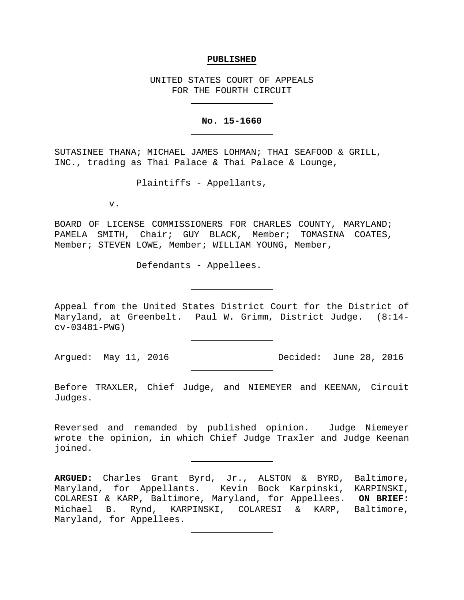## **PUBLISHED**

UNITED STATES COURT OF APPEALS FOR THE FOURTH CIRCUIT

## **No. 15-1660**

SUTASINEE THANA; MICHAEL JAMES LOHMAN; THAI SEAFOOD & GRILL, INC., trading as Thai Palace & Thai Palace & Lounge,

Plaintiffs - Appellants,

v.

BOARD OF LICENSE COMMISSIONERS FOR CHARLES COUNTY, MARYLAND; PAMELA SMITH, Chair; GUY BLACK, Member; TOMASINA COATES, Member; STEVEN LOWE, Member; WILLIAM YOUNG, Member,

Defendants - Appellees.

Appeal from the United States District Court for the District of Maryland, at Greenbelt. Paul W. Grimm, District Judge. (8:14 cv-03481-PWG)

Argued: May 11, 2016 **Decided:** June 28, 2016

Before TRAXLER, Chief Judge, and NIEMEYER and KEENAN, Circuit Judges.

Reversed and remanded by published opinion. Judge Niemeyer wrote the opinion, in which Chief Judge Traxler and Judge Keenan joined.

**ARGUED:** Charles Grant Byrd, Jr., ALSTON & BYRD, Baltimore, Maryland, for Appellants. Kevin Bock Karpinski, KARPINSKI, COLARESI & KARP, Baltimore, Maryland, for Appellees. **ON BRIEF:** Michael B. Rynd, KARPINSKI, COLARESI & KARP, Baltimore, Maryland, for Appellees.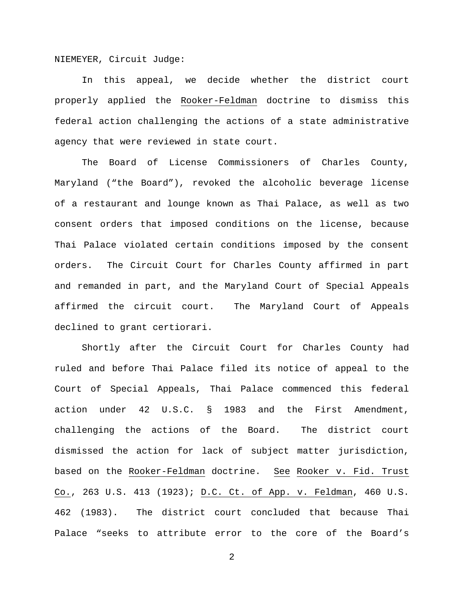NIEMEYER, Circuit Judge:

In this appeal, we decide whether the district court properly applied the Rooker-Feldman doctrine to dismiss this federal action challenging the actions of a state administrative agency that were reviewed in state court.

The Board of License Commissioners of Charles County, Maryland ("the Board"), revoked the alcoholic beverage license of a restaurant and lounge known as Thai Palace, as well as two consent orders that imposed conditions on the license, because Thai Palace violated certain conditions imposed by the consent orders. The Circuit Court for Charles County affirmed in part and remanded in part, and the Maryland Court of Special Appeals affirmed the circuit court. The Maryland Court of Appeals declined to grant certiorari.

Shortly after the Circuit Court for Charles County had ruled and before Thai Palace filed its notice of appeal to the Court of Special Appeals, Thai Palace commenced this federal action under 42 U.S.C. § 1983 and the First Amendment, challenging the actions of the Board. The district court dismissed the action for lack of subject matter jurisdiction, based on the Rooker-Feldman doctrine. See Rooker v. Fid. Trust Co., 263 U.S. 413 (1923); D.C. Ct. of App. v. Feldman, 460 U.S. 462 (1983). The district court concluded that because Thai Palace "seeks to attribute error to the core of the Board's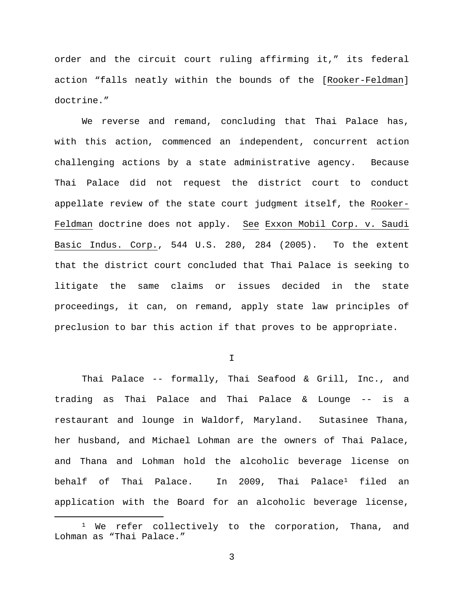order and the circuit court ruling affirming it," its federal action "falls neatly within the bounds of the [Rooker-Feldman] doctrine."

We reverse and remand, concluding that Thai Palace has, with this action, commenced an independent, concurrent action challenging actions by a state administrative agency. Because Thai Palace did not request the district court to conduct appellate review of the state court judgment itself, the Rooker-Feldman doctrine does not apply. See Exxon Mobil Corp. v. Saudi Basic Indus. Corp., 544 U.S. 280, 284 (2005). To the extent that the district court concluded that Thai Palace is seeking to litigate the same claims or issues decided in the state proceedings, it can, on remand, apply state law principles of preclusion to bar this action if that proves to be appropriate.

I

Thai Palace -- formally, Thai Seafood & Grill, Inc., and trading as Thai Palace and Thai Palace & Lounge -- is a restaurant and lounge in Waldorf, Maryland. Sutasinee Thana, her husband, and Michael Lohman are the owners of Thai Palace, and Thana and Lohman hold the alcoholic beverage license on behalf of Thai Palace. In 2009, Thai Palace<sup>[1](#page-2-0)</sup> filed an application with the Board for an alcoholic beverage license,

<span id="page-2-0"></span><sup>&</sup>lt;sup>1</sup> We refer collectively to the corporation, Thana, and Lohman as "Thai Palace."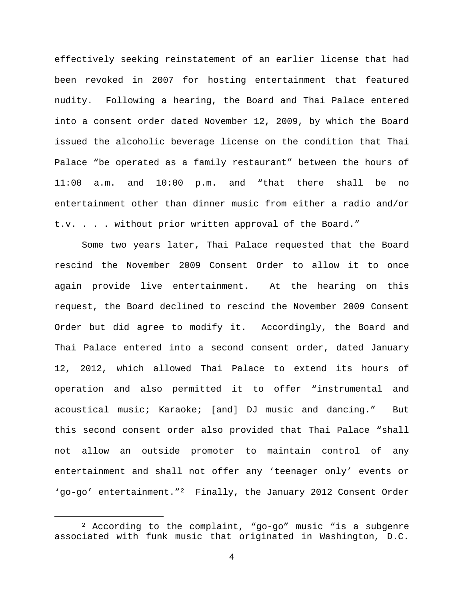effectively seeking reinstatement of an earlier license that had been revoked in 2007 for hosting entertainment that featured nudity. Following a hearing, the Board and Thai Palace entered into a consent order dated November 12, 2009, by which the Board issued the alcoholic beverage license on the condition that Thai Palace "be operated as a family restaurant" between the hours of 11:00 a.m. and 10:00 p.m. and "that there shall be no entertainment other than dinner music from either a radio and/or t.v. . . . without prior written approval of the Board."

Some two years later, Thai Palace requested that the Board rescind the November 2009 Consent Order to allow it to once again provide live entertainment. At the hearing on this request, the Board declined to rescind the November 2009 Consent Order but did agree to modify it. Accordingly, the Board and Thai Palace entered into a second consent order, dated January 12, 2012, which allowed Thai Palace to extend its hours of operation and also permitted it to offer "instrumental and acoustical music; Karaoke; [and] DJ music and dancing." But this second consent order also provided that Thai Palace "shall not allow an outside promoter to maintain control of any entertainment and shall not offer any 'teenager only' events or 'go-go' entertainment."[2](#page-3-0) Finally, the January 2012 Consent Order

<span id="page-3-0"></span> <sup>2</sup> According to the complaint, "go-go" music "is a subgenre associated with funk music that originated in Washington, D.C.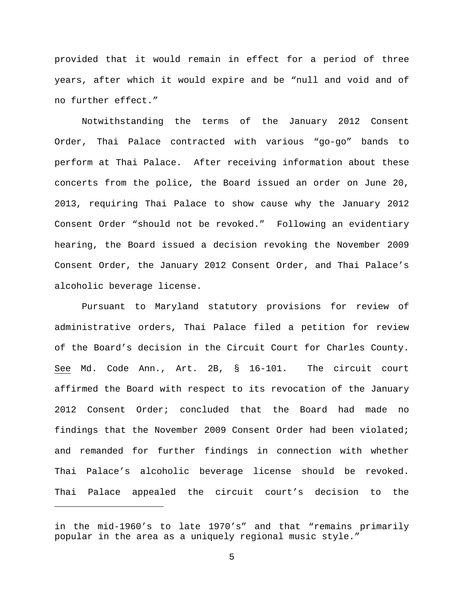provided that it would remain in effect for a period of three years, after which it would expire and be "null and void and of no further effect."

Notwithstanding the terms of the January 2012 Consent Order, Thai Palace contracted with various "go-go" bands to perform at Thai Palace. After receiving information about these concerts from the police, the Board issued an order on June 20, 2013, requiring Thai Palace to show cause why the January 2012 Consent Order "should not be revoked." Following an evidentiary hearing, the Board issued a decision revoking the November 2009 Consent Order, the January 2012 Consent Order, and Thai Palace's alcoholic beverage license.

Pursuant to Maryland statutory provisions for review of administrative orders, Thai Palace filed a petition for review of the Board's decision in the Circuit Court for Charles County. See Md. Code Ann., Art. 2B, § 16-101. The circuit court affirmed the Board with respect to its revocation of the January 2012 Consent Order; concluded that the Board had made no findings that the November 2009 Consent Order had been violated; and remanded for further findings in connection with whether Thai Palace's alcoholic beverage license should be revoked. Thai Palace appealed the circuit court's decision to the

Ĩ.

in the mid-1960's to late 1970's" and that "remains primarily popular in the area as a uniquely regional music style."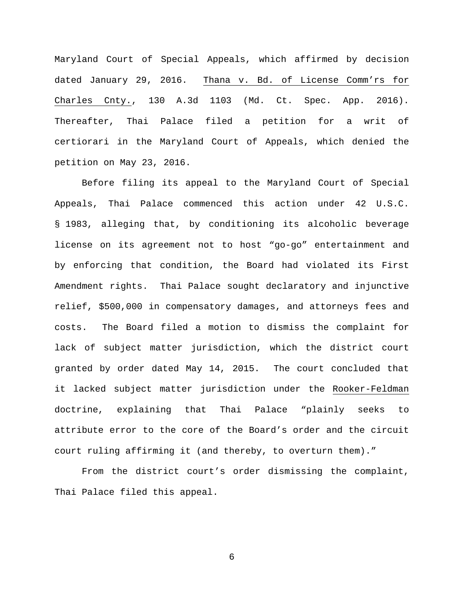Maryland Court of Special Appeals, which affirmed by decision dated January 29, 2016. Thana v. Bd. of License Comm'rs for Charles Cnty., 130 A.3d 1103 (Md. Ct. Spec. App. 2016). Thereafter, Thai Palace filed a petition for a writ of certiorari in the Maryland Court of Appeals, which denied the petition on May 23, 2016.

Before filing its appeal to the Maryland Court of Special Appeals, Thai Palace commenced this action under 42 U.S.C. § 1983, alleging that, by conditioning its alcoholic beverage license on its agreement not to host "go-go" entertainment and by enforcing that condition, the Board had violated its First Amendment rights. Thai Palace sought declaratory and injunctive relief, \$500,000 in compensatory damages, and attorneys fees and costs. The Board filed a motion to dismiss the complaint for lack of subject matter jurisdiction, which the district court granted by order dated May 14, 2015. The court concluded that it lacked subject matter jurisdiction under the Rooker-Feldman doctrine, explaining that Thai Palace "plainly seeks to attribute error to the core of the Board's order and the circuit court ruling affirming it (and thereby, to overturn them)."

From the district court's order dismissing the complaint, Thai Palace filed this appeal.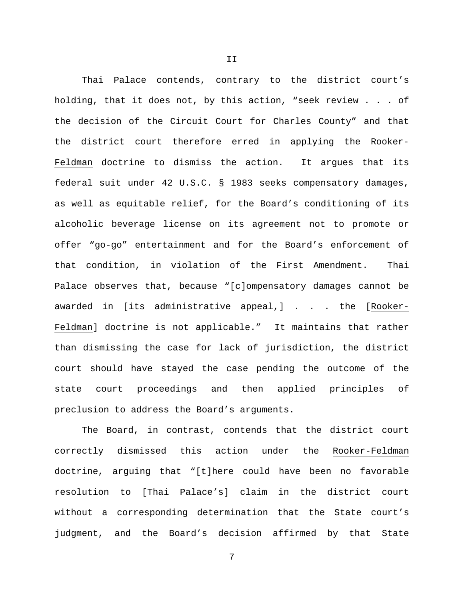Thai Palace contends, contrary to the district court's holding, that it does not, by this action, "seek review . . . of the decision of the Circuit Court for Charles County" and that the district court therefore erred in applying the Rooker-Feldman doctrine to dismiss the action. It argues that its federal suit under 42 U.S.C. § 1983 seeks compensatory damages, as well as equitable relief, for the Board's conditioning of its alcoholic beverage license on its agreement not to promote or offer "go-go" entertainment and for the Board's enforcement of that condition, in violation of the First Amendment. Thai Palace observes that, because "[c]ompensatory damages cannot be awarded in [its administrative appeal,] . . . the [Rooker-Feldman] doctrine is not applicable." It maintains that rather than dismissing the case for lack of jurisdiction, the district court should have stayed the case pending the outcome of the state court proceedings and then applied principles of preclusion to address the Board's arguments.

The Board, in contrast, contends that the district court correctly dismissed this action under the Rooker-Feldman doctrine, arguing that "[t]here could have been no favorable resolution to [Thai Palace's] claim in the district court without a corresponding determination that the State court's judgment, and the Board's decision affirmed by that State

7

II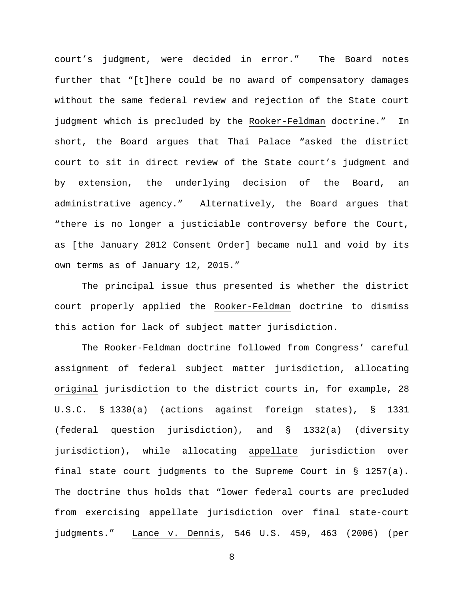court's judgment, were decided in error." The Board notes further that "[t]here could be no award of compensatory damages without the same federal review and rejection of the State court judgment which is precluded by the Rooker-Feldman doctrine." In short, the Board argues that Thai Palace "asked the district court to sit in direct review of the State court's judgment and by extension, the underlying decision of the Board, an administrative agency." Alternatively, the Board argues that "there is no longer a justiciable controversy before the Court, as [the January 2012 Consent Order] became null and void by its own terms as of January 12, 2015."

The principal issue thus presented is whether the district court properly applied the Rooker-Feldman doctrine to dismiss this action for lack of subject matter jurisdiction.

The Rooker-Feldman doctrine followed from Congress' careful assignment of federal subject matter jurisdiction, allocating original jurisdiction to the district courts in, for example, 28 U.S.C. § 1330(a) (actions against foreign states), § 1331 (federal question jurisdiction), and § 1332(a) (diversity jurisdiction), while allocating appellate jurisdiction over final state court judgments to the Supreme Court in § 1257(a). The doctrine thus holds that "lower federal courts are precluded from exercising appellate jurisdiction over final state-court judgments." Lance v. Dennis, 546 U.S. 459, 463 (2006) (per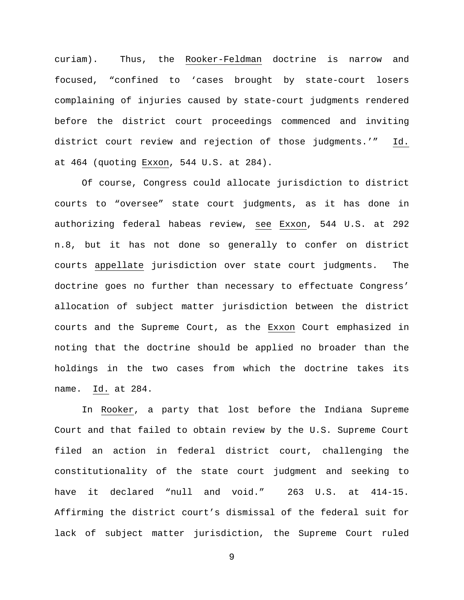curiam). Thus, the Rooker-Feldman doctrine is narrow and focused, "confined to 'cases brought by state-court losers complaining of injuries caused by state-court judgments rendered before the district court proceedings commenced and inviting district court review and rejection of those judgments.'" Id. at 464 (quoting Exxon, 544 U.S. at 284).

Of course, Congress could allocate jurisdiction to district courts to "oversee" state court judgments, as it has done in authorizing federal habeas review, see Exxon, 544 U.S. at 292 n.8, but it has not done so generally to confer on district courts appellate jurisdiction over state court judgments. The doctrine goes no further than necessary to effectuate Congress' allocation of subject matter jurisdiction between the district courts and the Supreme Court, as the Exxon Court emphasized in noting that the doctrine should be applied no broader than the holdings in the two cases from which the doctrine takes its name. Id. at 284.

In Rooker, a party that lost before the Indiana Supreme Court and that failed to obtain review by the U.S. Supreme Court filed an action in federal district court, challenging the constitutionality of the state court judgment and seeking to have it declared "null and void." 263 U.S. at 414-15. Affirming the district court's dismissal of the federal suit for lack of subject matter jurisdiction, the Supreme Court ruled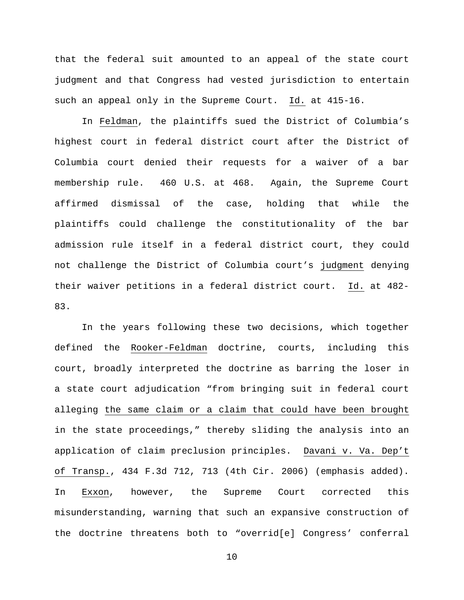that the federal suit amounted to an appeal of the state court judgment and that Congress had vested jurisdiction to entertain such an appeal only in the Supreme Court. Id. at 415-16.

In Feldman, the plaintiffs sued the District of Columbia's highest court in federal district court after the District of Columbia court denied their requests for a waiver of a bar membership rule. 460 U.S. at 468. Again, the Supreme Court affirmed dismissal of the case, holding that while the plaintiffs could challenge the constitutionality of the bar admission rule itself in a federal district court, they could not challenge the District of Columbia court's judgment denying their waiver petitions in a federal district court. Id. at 482- 83.

In the years following these two decisions, which together defined the Rooker-Feldman doctrine, courts, including this court, broadly interpreted the doctrine as barring the loser in a state court adjudication "from bringing suit in federal court alleging the same claim or a claim that could have been brought in the state proceedings," thereby sliding the analysis into an application of claim preclusion principles. Davani v. Va. Dep't of Transp., 434 F.3d 712, 713 (4th Cir. 2006) (emphasis added). In Exxon, however, the Supreme Court corrected this misunderstanding, warning that such an expansive construction of the doctrine threatens both to "overrid[e] Congress' conferral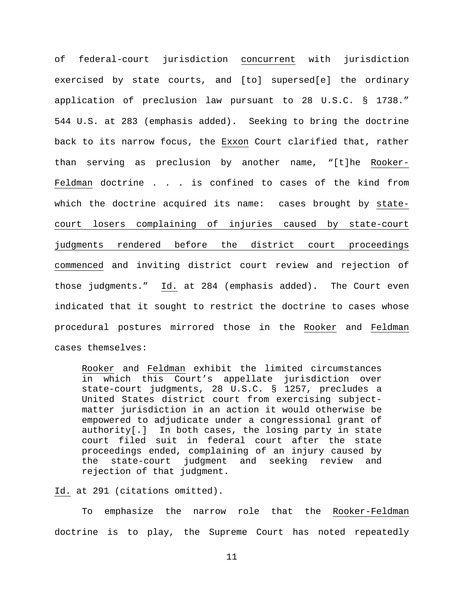of federal-court jurisdiction concurrent with jurisdiction exercised by state courts, and [to] supersed[e] the ordinary application of preclusion law pursuant to 28 U.S.C. § 1738." 544 U.S. at 283 (emphasis added). Seeking to bring the doctrine back to its narrow focus, the Exxon Court clarified that, rather than serving as preclusion by another name, "[t]he Rooker-Feldman doctrine . . . is confined to cases of the kind from which the doctrine acquired its name: cases brought by statecourt losers complaining of injuries caused by state-court judgments rendered before the district court proceedings commenced and inviting district court review and rejection of those judgments." Id. at 284 (emphasis added). The Court even indicated that it sought to restrict the doctrine to cases whose procedural postures mirrored those in the Rooker and Feldman cases themselves:

Rooker and Feldman exhibit the limited circumstances in which this Court's appellate jurisdiction over state-court judgments, 28 U.S.C. § 1257, precludes a United States district court from exercising subjectmatter jurisdiction in an action it would otherwise be empowered to adjudicate under a congressional grant of authority[.] In both cases, the losing party in state court filed suit in federal court after the state proceedings ended, complaining of an injury caused by the state-court judgment and seeking review and rejection of that judgment.

Id. at 291 (citations omitted).

To emphasize the narrow role that the Rooker-Feldman doctrine is to play, the Supreme Court has noted repeatedly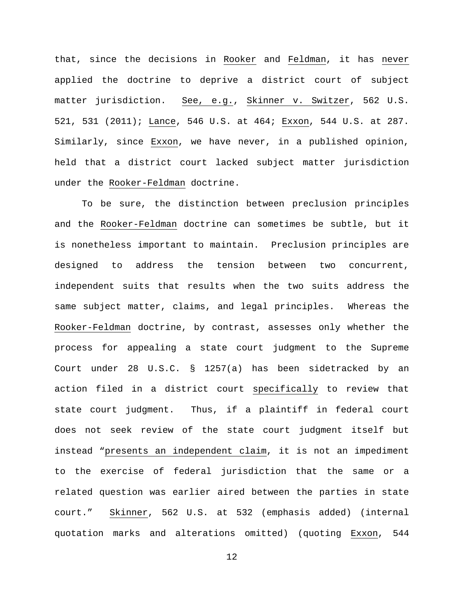that, since the decisions in Rooker and Feldman, it has never applied the doctrine to deprive a district court of subject matter jurisdiction. See, e.g., Skinner v. Switzer, 562 U.S. 521, 531 (2011); Lance, 546 U.S. at 464; Exxon, 544 U.S. at 287. Similarly, since Exxon, we have never, in a published opinion, held that a district court lacked subject matter jurisdiction under the Rooker-Feldman doctrine.

To be sure, the distinction between preclusion principles and the Rooker-Feldman doctrine can sometimes be subtle, but it is nonetheless important to maintain. Preclusion principles are designed to address the tension between two concurrent, independent suits that results when the two suits address the same subject matter, claims, and legal principles. Whereas the Rooker-Feldman doctrine, by contrast, assesses only whether the process for appealing a state court judgment to the Supreme Court under 28 U.S.C. § 1257(a) has been sidetracked by an action filed in a district court specifically to review that state court judgment. Thus, if a plaintiff in federal court does not seek review of the state court judgment itself but instead "presents an independent claim, it is not an impediment to the exercise of federal jurisdiction that the same or a related question was earlier aired between the parties in state court." Skinner, 562 U.S. at 532 (emphasis added) (internal quotation marks and alterations omitted) (quoting Exxon, 544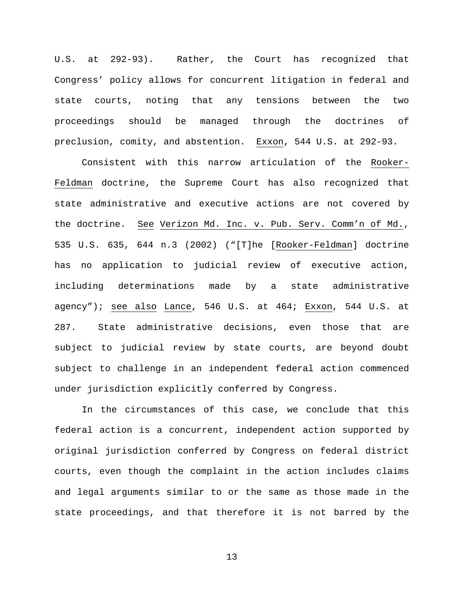U.S. at 292-93). Rather, the Court has recognized that Congress' policy allows for concurrent litigation in federal and state courts, noting that any tensions between the two proceedings should be managed through the doctrines of preclusion, comity, and abstention. Exxon, 544 U.S. at 292-93.

Consistent with this narrow articulation of the Rooker-Feldman doctrine, the Supreme Court has also recognized that state administrative and executive actions are not covered by the doctrine. See Verizon Md. Inc. v. Pub. Serv. Comm'n of Md., 535 U.S. 635, 644 n.3 (2002) ("[T]he [Rooker-Feldman] doctrine has no application to judicial review of executive action, including determinations made by a state administrative agency"); see also Lance, 546 U.S. at 464; Exxon, 544 U.S. at 287. State administrative decisions, even those that are subject to judicial review by state courts, are beyond doubt subject to challenge in an independent federal action commenced under jurisdiction explicitly conferred by Congress.

In the circumstances of this case, we conclude that this federal action is a concurrent, independent action supported by original jurisdiction conferred by Congress on federal district courts, even though the complaint in the action includes claims and legal arguments similar to or the same as those made in the state proceedings, and that therefore it is not barred by the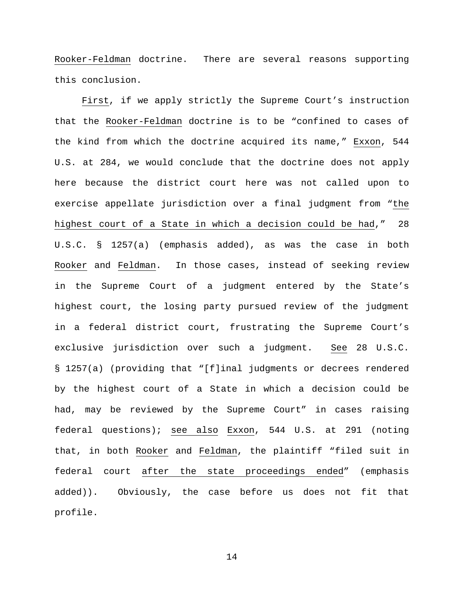Rooker-Feldman doctrine. There are several reasons supporting this conclusion.

First, if we apply strictly the Supreme Court's instruction that the Rooker-Feldman doctrine is to be "confined to cases of the kind from which the doctrine acquired its name," Exxon, 544 U.S. at 284, we would conclude that the doctrine does not apply here because the district court here was not called upon to exercise appellate jurisdiction over a final judgment from "the highest court of a State in which a decision could be had," 28 U.S.C. § 1257(a) (emphasis added), as was the case in both Rooker and Feldman. In those cases, instead of seeking review in the Supreme Court of a judgment entered by the State's highest court, the losing party pursued review of the judgment in a federal district court, frustrating the Supreme Court's exclusive jurisdiction over such a judgment. See 28 U.S.C. § 1257(a) (providing that "[f]inal judgments or decrees rendered by the highest court of a State in which a decision could be had, may be reviewed by the Supreme Court" in cases raising federal questions); see also Exxon, 544 U.S. at 291 (noting that, in both Rooker and Feldman, the plaintiff "filed suit in federal court after the state proceedings ended" (emphasis added)). Obviously, the case before us does not fit that profile.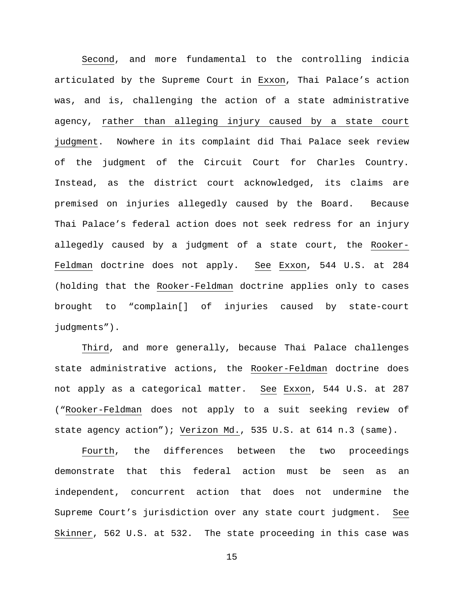Second, and more fundamental to the controlling indicia articulated by the Supreme Court in Exxon, Thai Palace's action was, and is, challenging the action of a state administrative agency, rather than alleging injury caused by a state court judgment. Nowhere in its complaint did Thai Palace seek review of the judgment of the Circuit Court for Charles Country. Instead, as the district court acknowledged, its claims are premised on injuries allegedly caused by the Board. Because Thai Palace's federal action does not seek redress for an injury allegedly caused by a judgment of a state court, the Rooker-Feldman doctrine does not apply. See Exxon, 544 U.S. at 284 (holding that the Rooker-Feldman doctrine applies only to cases brought to "complain[] of injuries caused by state-court judgments").

Third, and more generally, because Thai Palace challenges state administrative actions, the Rooker-Feldman doctrine does not apply as a categorical matter. See Exxon, 544 U.S. at 287 ("Rooker-Feldman does not apply to a suit seeking review of state agency action"); Verizon Md., 535 U.S. at 614 n.3 (same).

Fourth, the differences between the two proceedings demonstrate that this federal action must be seen as an independent, concurrent action that does not undermine the Supreme Court's jurisdiction over any state court judgment. See Skinner, 562 U.S. at 532. The state proceeding in this case was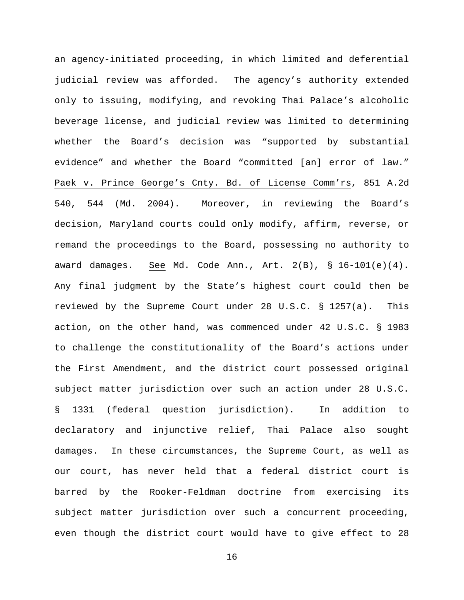an agency-initiated proceeding, in which limited and deferential judicial review was afforded. The agency's authority extended only to issuing, modifying, and revoking Thai Palace's alcoholic beverage license, and judicial review was limited to determining whether the Board's decision was "supported by substantial evidence" and whether the Board "committed [an] error of law." Paek v. Prince George's Cnty. Bd. of License Comm'rs, 851 A.2d 540, 544 (Md. 2004). Moreover, in reviewing the Board's decision, Maryland courts could only modify, affirm, reverse, or remand the proceedings to the Board, possessing no authority to award damages. See Md. Code Ann., Art. 2(B), § 16-101(e)(4). Any final judgment by the State's highest court could then be reviewed by the Supreme Court under 28 U.S.C. § 1257(a). This action, on the other hand, was commenced under 42 U.S.C. § 1983 to challenge the constitutionality of the Board's actions under the First Amendment, and the district court possessed original subject matter jurisdiction over such an action under 28 U.S.C. § 1331 (federal question jurisdiction). In addition to declaratory and injunctive relief, Thai Palace also sought damages. In these circumstances, the Supreme Court, as well as our court, has never held that a federal district court is barred by the Rooker-Feldman doctrine from exercising its subject matter jurisdiction over such a concurrent proceeding, even though the district court would have to give effect to 28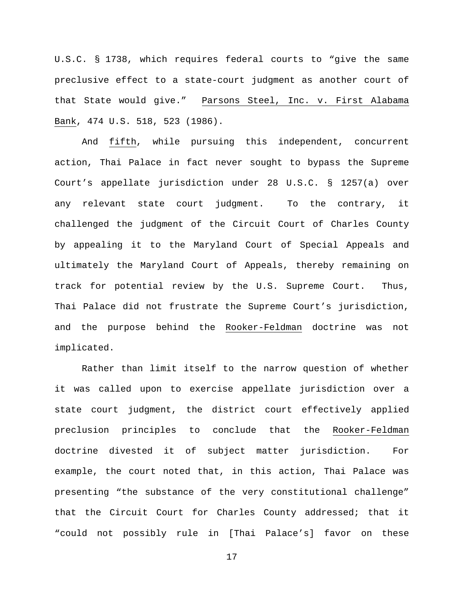U.S.C. § 1738, which requires federal courts to "give the same preclusive effect to a state-court judgment as another court of that State would give." Parsons Steel, Inc. v. First Alabama Bank, 474 U.S. 518, 523 (1986).

And fifth, while pursuing this independent, concurrent action, Thai Palace in fact never sought to bypass the Supreme Court's appellate jurisdiction under 28 U.S.C. § 1257(a) over any relevant state court judgment. To the contrary, it challenged the judgment of the Circuit Court of Charles County by appealing it to the Maryland Court of Special Appeals and ultimately the Maryland Court of Appeals, thereby remaining on track for potential review by the U.S. Supreme Court. Thus, Thai Palace did not frustrate the Supreme Court's jurisdiction, and the purpose behind the Rooker-Feldman doctrine was not implicated.

Rather than limit itself to the narrow question of whether it was called upon to exercise appellate jurisdiction over a state court judgment, the district court effectively applied preclusion principles to conclude that the Rooker-Feldman doctrine divested it of subject matter jurisdiction. For example, the court noted that, in this action, Thai Palace was presenting "the substance of the very constitutional challenge" that the Circuit Court for Charles County addressed; that it "could not possibly rule in [Thai Palace's] favor on these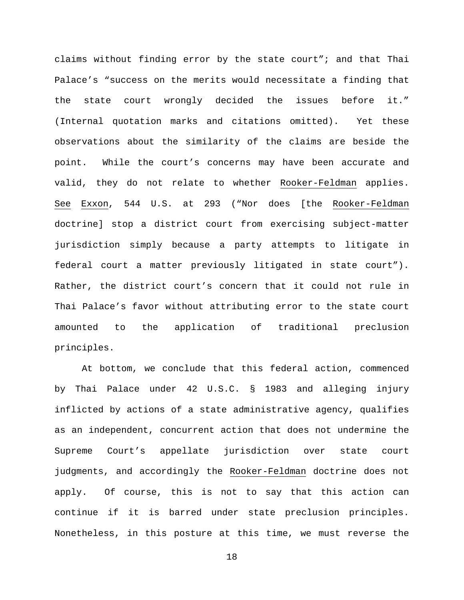claims without finding error by the state court"; and that Thai Palace's "success on the merits would necessitate a finding that the state court wrongly decided the issues before it." (Internal quotation marks and citations omitted). Yet these observations about the similarity of the claims are beside the point. While the court's concerns may have been accurate and valid, they do not relate to whether Rooker-Feldman applies. See Exxon, 544 U.S. at 293 ("Nor does [the Rooker-Feldman doctrine] stop a district court from exercising subject-matter jurisdiction simply because a party attempts to litigate in federal court a matter previously litigated in state court"). Rather, the district court's concern that it could not rule in Thai Palace's favor without attributing error to the state court amounted to the application of traditional preclusion principles.

At bottom, we conclude that this federal action, commenced by Thai Palace under 42 U.S.C. § 1983 and alleging injury inflicted by actions of a state administrative agency, qualifies as an independent, concurrent action that does not undermine the Supreme Court's appellate jurisdiction over state court judgments, and accordingly the Rooker-Feldman doctrine does not apply. Of course, this is not to say that this action can continue if it is barred under state preclusion principles. Nonetheless, in this posture at this time, we must reverse the